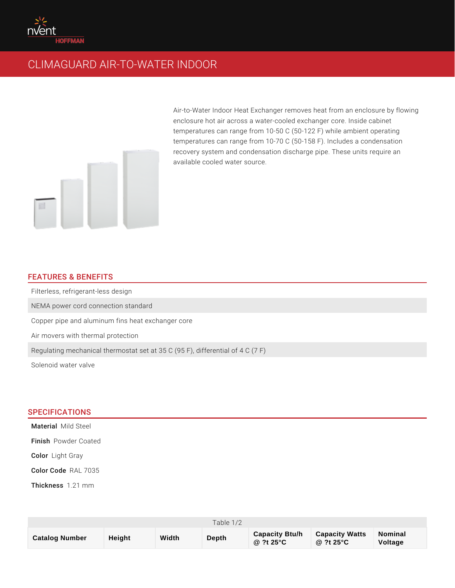

## CLIMAGUARD AIR-TO-WATER INDOOR



Air-to-Water Indoor Heat Exchanger removes heat from an enclosure by flowing enclosure hot air across a water-cooled exchanger core. Inside cabinet temperatures can range from 10-50 C (50-122 F) while ambient operating temperatures can range from 10-70 C (50-158 F). Includes a condensation recovery system and condensation discharge pipe. These units require an available cooled water source.

## FEATURES & BENEFITS

Filterless, refrigerant-less design NEMA power cord connection standard Copper pipe and aluminum fins heat exchanger core Air movers with thermal protection Regulating mechanical thermostat set at 35 C (95 F), differential of 4 C (7 F) Solenoid water valve

## SPECIFICATIONS

Material Mild Steel Finish Powder Coated Color Light Gray Color Code RAL 7035

Thickness 1.21 mm

Table 1/2 **Catalog Number Height Width Depth Capacity Btu/h @ ?t 25°C Capacity Watts @ ?t 25°C Nominal Voltage**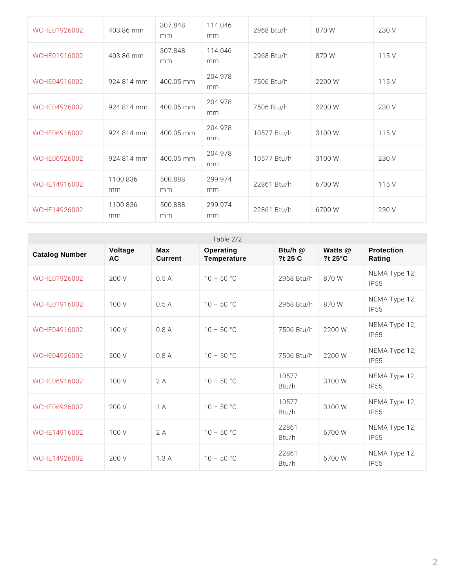| WCHE01926002403.86 mm           |                         | 307.848<br>m m | 114.046<br>m m                    | $2968$ Btu/h       | 870 W  | 230 V   |
|---------------------------------|-------------------------|----------------|-----------------------------------|--------------------|--------|---------|
| WCHE01916002403.86 mlm          |                         | 307.848<br>m m | 114.046<br>m m                    | $2968$ Btu/h       | 870 W  | 115 V   |
| WCHE04916002924.814 m4h00.05    |                         |                | 204.978<br>m m<br>m m             | 7506 Btu/h         | 2200 W | 115 V   |
| WCHE04926002924.814 m4h00.05 mm |                         |                | 204.978<br>m m                    | 7506 Btu/h         | 2200 W | 230 V   |
| WCHE06916002924.814 m4h00.05    |                         |                | 204.978<br>rn m<br>m <sub>m</sub> | 10577 Btu/h 3100 W |        | $115$ V |
| WCHE06926002924.814 m4h00.05    |                         |                | 204.978<br>m m<br>m m             | 10577 Btu/h 3100 W |        | 230 V   |
| WCHE14916002                    | 1100.836<br>m m         | 500.888<br>m m | 299.974<br>m <sub>m</sub>         | 22861 Btu/h 6700 W |        | 115 V   |
| WCHE14926002                    | 1100.836 500.888<br>m m | m m            | 299.974<br>m m                    | 22861 Btu/h6700 W  |        | 230 V   |

| Table 2/2         |                |                |                          |                                            |                                |  |  |  |  |
|-------------------|----------------|----------------|--------------------------|--------------------------------------------|--------------------------------|--|--|--|--|
| Catalog Number    | Voltage<br>AC. | Max<br>Current | Operating<br>Temperature | Btu/h $@$<br>Watts @<br>?t 25 C<br>?t 25°C | Protection<br>Rating           |  |  |  |  |
| WCHE01926002200 V |                | 0.5A           | 50 °C<br>10              | 2968 Btu 8h70 W                            | N E MA Type   12;<br>IP55      |  |  |  |  |
| WCHE01916002100 V |                | 0.5A           | 50 °C<br>10              | 2968 Btu 8h70 W                            | $NEMA$ Type 12;<br>IP55        |  |  |  |  |
| WCHE04916002100 V |                | 0.8A           | 50 °C<br>10              | 7506 Btlu2h200 W                           | $NEMA$ Type 12;<br><b>IP55</b> |  |  |  |  |
| WCHE04926002200 V |                | 0.8A           | 50 °C<br>10              | 7506 Btu2H200 W                            | $NEMA$ Type 12;<br>IP55        |  |  |  |  |
| WCHE06916002100 V |                | 2A             | 50 °C<br>10              | 10577<br>3100 W<br>Btu/h                   | $NEMA$ Type 12;<br>IP55        |  |  |  |  |
| WCHE06926002200 V |                | 1 A            | 50 °C<br>10              | 10577<br>3100 W<br>$B$ tu/h                | $NEMA$ Type 12;<br>IP55        |  |  |  |  |
| WCHE14916002100 V |                | 2A             | 50 °C<br>10              | 22861<br>6700 W<br>$B$ tu/h                | $NEMA$ Type 12;<br><b>IP55</b> |  |  |  |  |
| WCHE14926002200 V |                | 1.3A           | 50 °C<br>1 <sub>0</sub>  | 22861<br>6700 W<br>$B$ tu/h                | $NEMA$ Type 12;<br>IP55        |  |  |  |  |